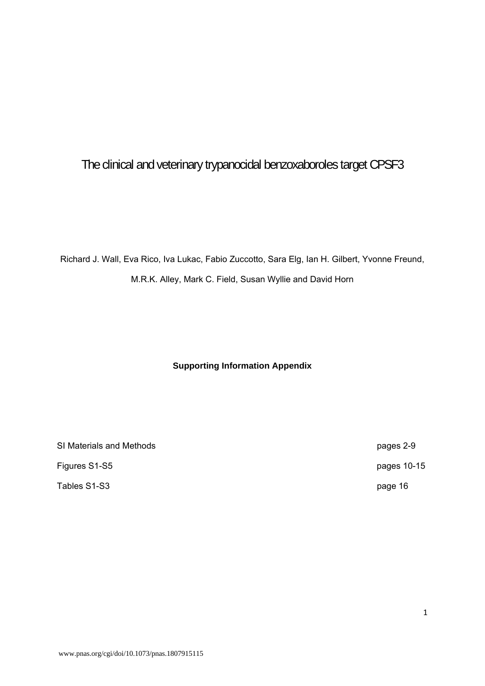# The clinical and veterinary trypanocidal benzoxaboroles target CPSF3

Richard J. Wall, Eva Rico, Iva Lukac, Fabio Zuccotto, Sara Elg, Ian H. Gilbert, Yvonne Freund, M.R.K. Alley, Mark C. Field, Susan Wyllie and David Horn

## **Supporting Information Appendix**

SI Materials and Methods **pages 2-9** Figures S1-S5 pages 10-15

Tables S1-S3 page 16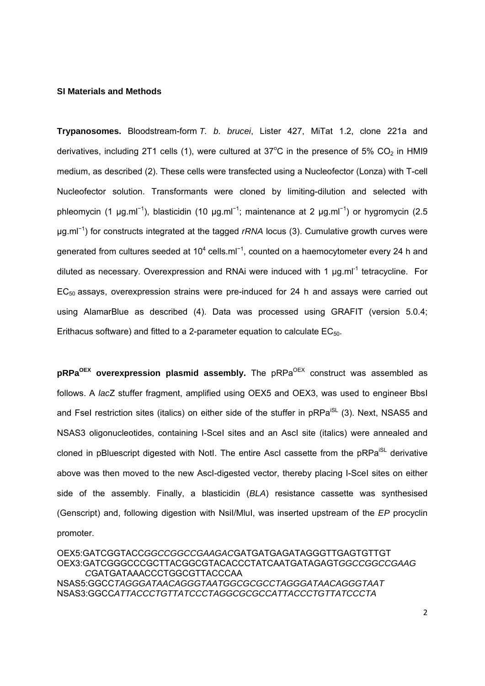#### **SI Materials and Methods**

**Trypanosomes.** Bloodstream-form *T. b. brucei*, Lister 427, MiTat 1.2, clone 221a and derivatives, including 2T1 cells (1), were cultured at 37°C in the presence of 5%  $CO<sub>2</sub>$  in HMI9 medium, as described (2). These cells were transfected using a Nucleofector (Lonza) with T-cell Nucleofector solution. Transformants were cloned by limiting-dilution and selected with phleomycin (1 µg.ml<sup>-1</sup>), blasticidin (10 µg.ml<sup>-1</sup>; maintenance at 2 µg.ml<sup>-1</sup>) or hygromycin (2.5 μg.ml<sup>−</sup><sup>1</sup> ) for constructs integrated at the tagged *rRNA* locus (3). Cumulative growth curves were generated from cultures seeded at 10<sup>4</sup> cells.ml<sup>-1</sup>, counted on a haemocytometer every 24 h and diluted as necessary. Overexpression and RNAi were induced with 1 μg.ml<sup>-1</sup> tetracycline. For  $EC_{50}$  assays, overexpression strains were pre-induced for 24 h and assays were carried out using AlamarBlue as described (4). Data was processed using GRAFIT (version 5.0.4; Erithacus software) and fitted to a 2-parameter equation to calculate  $EC_{50}$ .

**pRPa<sup>OEX</sup>** overexpression plasmid assembly. The pRPa<sup>OEX</sup> construct was assembled as follows. A *lac*Z stuffer fragment, amplified using OEX5 and OEX3, was used to engineer BbsI and Fsel restriction sites (italics) on either side of the stuffer in pRPa<sup>iSL</sup> (3). Next, NSAS5 and NSAS3 oligonucleotides, containing I-Scel sites and an AscI site (italics) were annealed and cloned in pBluescript digested with Notl. The entire AscI cassette from the pRPa<sup>iSL</sup> derivative above was then moved to the new AscI-digested vector, thereby placing I-SceI sites on either side of the assembly. Finally, a blasticidin (*BLA*) resistance cassette was synthesised (Genscript) and, following digestion with NsiI/MluI, was inserted upstream of the *EP* procyclin promoter.

OEX5:GATCGGTACC*GGCCGGCCGAAGAC*GATGATGAGATAGGGTTGAGTGTTGT OEX3:GATCGGGCCCGCTTACGGCGTACACCCTATCAATGATAGAGT*GGCCGGCCGAAG C*GATGATAAACCCTGGCGTTACCCAA NSAS5:GGCC*TAGGGATAACAGGGTAATGGCGCGCCTAGGGATAACAGGGTAAT* NSAS3:GGCC*ATTACCCTGTTATCCCTAGGCGCGCCATTACCCTGTTATCCCTA*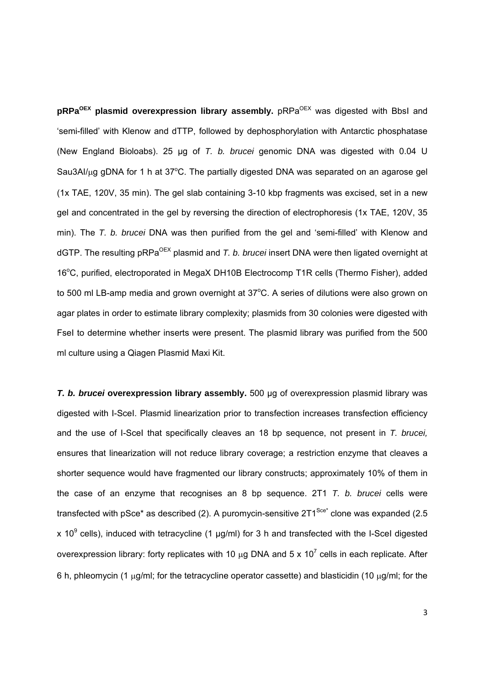**pRPa<sup>OEX</sup> plasmid overexpression library assembly.** pRPa<sup>OEX</sup> was digested with BbsI and 'semi-filled' with Klenow and dTTP, followed by dephosphorylation with Antarctic phosphatase (New England Bioloabs). 25 µg of *T. b. brucei* genomic DNA was digested with 0.04 U Sau3AI/µg gDNA for 1 h at 37°C. The partially digested DNA was separated on an agarose gel (1x TAE, 120V, 35 min). The gel slab containing 3-10 kbp fragments was excised, set in a new gel and concentrated in the gel by reversing the direction of electrophoresis (1x TAE, 120V, 35 min). The *T. b. brucei* DNA was then purified from the gel and 'semi-filled' with Klenow and dGTP. The resulting pRPa<sup>OEX</sup> plasmid and *T. b. brucei* insert DNA were then ligated overnight at 16°C, purified, electroporated in MegaX DH10B Electrocomp T1R cells (Thermo Fisher), added to 500 ml LB-amp media and grown overnight at  $37^{\circ}$ C. A series of dilutions were also grown on agar plates in order to estimate library complexity; plasmids from 30 colonies were digested with FseI to determine whether inserts were present. The plasmid library was purified from the 500 ml culture using a Qiagen Plasmid Maxi Kit.

*T. b. brucei* **overexpression library assembly.** 500 µg of overexpression plasmid library was digested with I-SceI. Plasmid linearization prior to transfection increases transfection efficiency and the use of I-SceI that specifically cleaves an 18 bp sequence, not present in *T. brucei,* ensures that linearization will not reduce library coverage; a restriction enzyme that cleaves a shorter sequence would have fragmented our library constructs; approximately 10% of them in the case of an enzyme that recognises an 8 bp sequence. 2T1 *T. b. brucei* cells were transfected with pSce\* as described (2). A puromycin-sensitive  $2T1^{Sce}$  clone was expanded (2.5 x 10<sup>9</sup> cells), induced with tetracycline (1  $\mu$ g/ml) for 3 h and transfected with the I-Scel digested overexpression library: forty replicates with 10  $\mu$ g DNA and 5 x 10<sup>7</sup> cells in each replicate. After 6 h, phleomycin (1  $\mu$ q/ml; for the tetracycline operator cassette) and blasticidin (10  $\mu$ q/ml; for the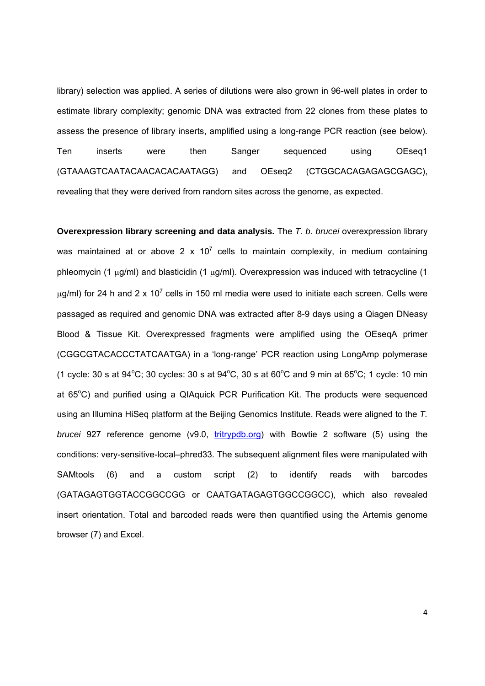library) selection was applied. A series of dilutions were also grown in 96-well plates in order to estimate library complexity; genomic DNA was extracted from 22 clones from these plates to assess the presence of library inserts, amplified using a long-range PCR reaction (see below). Ten inserts were then Sanger sequenced using OEseq1 (GTAAAGTCAATACAACACACAATAGG) and OEseq2 (CTGGCACAGAGAGCGAGC), revealing that they were derived from random sites across the genome, as expected.

**Overexpression library screening and data analysis.** The *T. b. brucei* overexpression library was maintained at or above 2 x 10<sup>7</sup> cells to maintain complexity, in medium containing phleomycin (1  $\mu$ g/ml) and blasticidin (1  $\mu$ g/ml). Overexpression was induced with tetracycline (1  $\mu$ g/ml) for 24 h and 2 x 10<sup>7</sup> cells in 150 ml media were used to initiate each screen. Cells were passaged as required and genomic DNA was extracted after 8-9 days using a Qiagen DNeasy Blood & Tissue Kit. Overexpressed fragments were amplified using the OEseqA primer (CGGCGTACACCCTATCAATGA) in a 'long-range' PCR reaction using LongAmp polymerase (1 cycle: 30 s at  $94^{\circ}$ C; 30 cycles: 30 s at  $94^{\circ}$ C, 30 s at  $60^{\circ}$ C and 9 min at  $65^{\circ}$ C; 1 cycle: 10 min at 65°C) and purified using a QIAquick PCR Purification Kit. The products were sequenced using an Illumina HiSeq platform at the Beijing Genomics Institute. Reads were aligned to the *T. brucei* 927 reference genome (v9.0, tritrypdb.org) with Bowtie 2 software (5) using the conditions: very-sensitive-local–phred33. The subsequent alignment files were manipulated with SAMtools (6) and a custom script (2) to identify reads with barcodes (GATAGAGTGGTACCGGCCGG or CAATGATAGAGTGGCCGGCC), which also revealed insert orientation. Total and barcoded reads were then quantified using the Artemis genome browser (7) and Excel.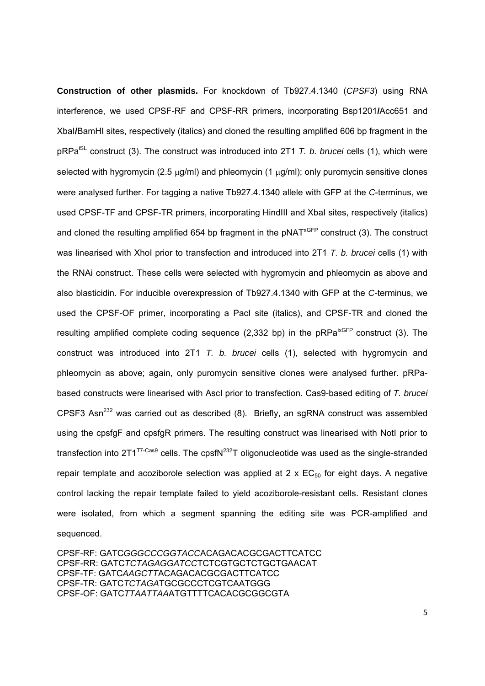**Construction of other plasmids.** For knockdown of Tb927.4.1340 (*CPSF3*) using RNA interference, we used CPSF-RF and CPSF-RR primers, incorporating Bsp1201**/**Acc651 and XbaI**/**BamHI sites, respectively (italics) and cloned the resulting amplified 606 bp fragment in the pRPaiSL construct (3). The construct was introduced into 2T1 *T. b. brucei* cells (1), which were selected with hygromycin (2.5  $\mu$ g/ml) and phleomycin (1  $\mu$ g/ml); only puromycin sensitive clones were analysed further. For tagging a native Tb927.4.1340 allele with GFP at the *C*-terminus, we used CPSF-TF and CPSF-TR primers, incorporating HindIII and XbaI sites, respectively (italics) and cloned the resulting amplified 654 bp fragment in the  $pNAT^{XGFP}$  construct (3). The construct was linearised with XhoI prior to transfection and introduced into 2T1 *T. b. brucei* cells (1) with the RNAi construct. These cells were selected with hygromycin and phleomycin as above and also blasticidin. For inducible overexpression of Tb927.4.1340 with GFP at the *C*-terminus, we used the CPSF-OF primer, incorporating a PacI site (italics), and CPSF-TR and cloned the resulting amplified complete coding sequence  $(2,332$  bp) in the pRPa<sup>ixGFP</sup> construct  $(3)$ . The construct was introduced into 2T1 *T. b. brucei* cells (1), selected with hygromycin and phleomycin as above; again, only puromycin sensitive clones were analysed further. pRPabased constructs were linearised with AscI prior to transfection. Cas9-based editing of *T. brucei*  CPSF3 Asn<sup>232</sup> was carried out as described  $(8)$ . Briefly, an sgRNA construct was assembled using the cpsfgF and cpsfgR primers. The resulting construct was linearised with NotI prior to transfection into  $2T1^{T7-Cas9}$  cells. The cpsfN<sup>232</sup>T oligonucleotide was used as the single-stranded repair template and acoziborole selection was applied at  $2 \times EC_{50}$  for eight days. A negative control lacking the repair template failed to yield acoziborole-resistant cells. Resistant clones were isolated, from which a segment spanning the editing site was PCR-amplified and sequenced.

CPSF-RF: GATC*GGGCCCGGTACC*ACAGACACGCGACTTCATCC CPSF-RR: GATC*TCTAGAGGATCC*TCTCGTGCTCTGCTGAACAT CPSF-TF: GATC*AAGCTT*ACAGACACGCGACTTCATCC CPSF-TR: GATC*TCTAGA*TGCGCCCTCGTCAATGGG CPSF-OF: GATC*TTAATTAA*ATGTTTTCACACGCGGCGTA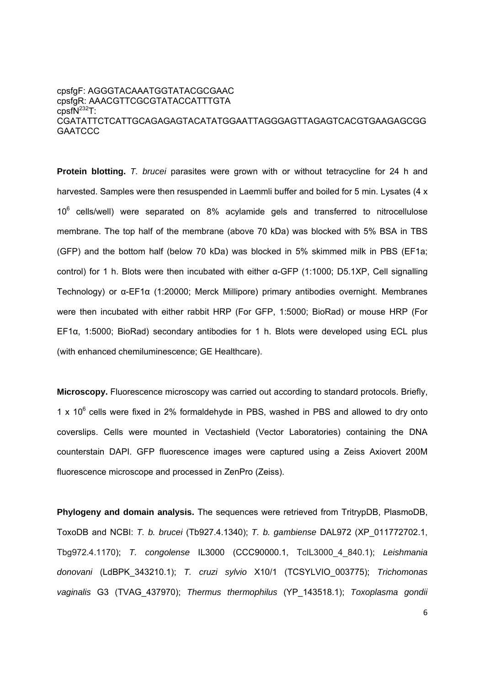### cpsfgF: AGGGTACAAATGGTATACGCGAAC cpsfgR: AAACGTTCGCGTATACCATTTGTA  $cpsfN<sup>232</sup>T$ : CGATATTCTCATTGCAGAGAGTACATATGGAATTAGGGAGTTAGAGTCACGTGAAGAGCGG **GAATCCC**

**Protein blotting.** *T. brucei* parasites were grown with or without tetracycline for 24 h and harvested. Samples were then resuspended in Laemmli buffer and boiled for 5 min. Lysates (4 x 10<sup>6</sup> cells/well) were separated on 8% acylamide gels and transferred to nitrocellulose membrane. The top half of the membrane (above 70 kDa) was blocked with 5% BSA in TBS (GFP) and the bottom half (below 70 kDa) was blocked in 5% skimmed milk in PBS (EF1a; control) for 1 h. Blots were then incubated with either α-GFP (1:1000; D5.1XP, Cell signalling Technology) or α-EF1α (1:20000; Merck Millipore) primary antibodies overnight. Membranes were then incubated with either rabbit HRP (For GFP, 1:5000; BioRad) or mouse HRP (For EF1α, 1:5000; BioRad) secondary antibodies for 1 h. Blots were developed using ECL plus (with enhanced chemiluminescence; GE Healthcare).

**Microscopy.** Fluorescence microscopy was carried out according to standard protocols. Briefly, 1 x  $10^6$  cells were fixed in 2% formaldehyde in PBS, washed in PBS and allowed to dry onto coverslips. Cells were mounted in Vectashield (Vector Laboratories) containing the DNA counterstain DAPI. GFP fluorescence images were captured using a Zeiss Axiovert 200M fluorescence microscope and processed in ZenPro (Zeiss).

**Phylogeny and domain analysis.** The sequences were retrieved from TritrypDB, PlasmoDB, ToxoDB and NCBI: *T. b. brucei* (Tb927.4.1340); *T. b. gambiense* DAL972 (XP\_011772702.1, Tbg972.4.1170); *T. congolense* IL3000 (CCC90000.1, TcIL3000\_4\_840.1); *Leishmania donovani* (LdBPK\_343210.1); *T. cruzi sylvio* X10/1 (TCSYLVIO\_003775); *Trichomonas vaginalis* G3 (TVAG\_437970); *Thermus thermophilus* (YP\_143518.1); *Toxoplasma gondii*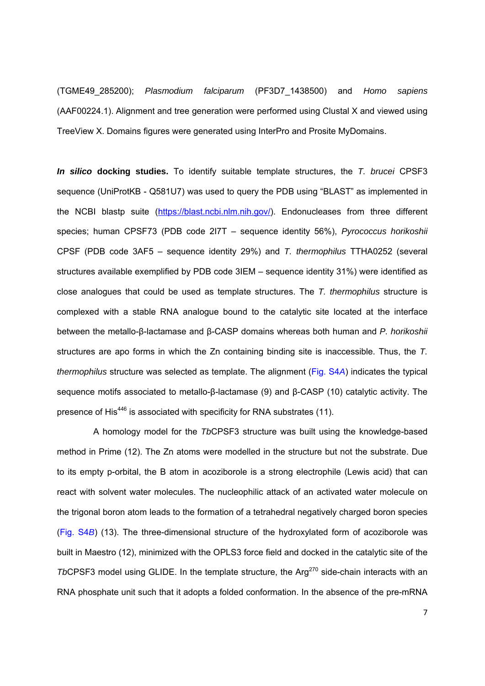(TGME49\_285200); *Plasmodium falciparum* (PF3D7\_1438500) and *Homo sapiens*  (AAF00224.1). Alignment and tree generation were performed using Clustal X and viewed using TreeView X. Domains figures were generated using InterPro and Prosite MyDomains.

*In silico* **docking studies.** To identify suitable template structures, the *T. brucei* CPSF3 sequence (UniProtKB - Q581U7) was used to query the PDB using "BLAST" as implemented in the NCBI blastp suite (https://blast.ncbi.nlm.nih.gov/). Endonucleases from three different species; human CPSF73 (PDB code 2I7T – sequence identity 56%), *Pyrococcus horikoshii* CPSF (PDB code 3AF5 – sequence identity 29%) and *T. thermophilus* TTHA0252 (several structures available exemplified by PDB code 3IEM – sequence identity 31%) were identified as close analogues that could be used as template structures. The *T. thermophilus* structure is complexed with a stable RNA analogue bound to the catalytic site located at the interface between the metallo-β-lactamase and β-CASP domains whereas both human and *P. horikoshii* structures are apo forms in which the Zn containing binding site is inaccessible. Thus, the *T. thermophilus* structure was selected as template. The alignment (Fig. S4*A*) indicates the typical sequence motifs associated to metallo-β-lactamase (9) and β-CASP (10) catalytic activity. The presence of His<sup>446</sup> is associated with specificity for RNA substrates (11).

 A homology model for the *Tb*CPSF3 structure was built using the knowledge-based method in Prime (12). The Zn atoms were modelled in the structure but not the substrate. Due to its empty p-orbital, the B atom in acoziborole is a strong electrophile (Lewis acid) that can react with solvent water molecules. The nucleophilic attack of an activated water molecule on the trigonal boron atom leads to the formation of a tetrahedral negatively charged boron species (Fig. S4*B*) (13). The three-dimensional structure of the hydroxylated form of acoziborole was built in Maestro (12), minimized with the OPLS3 force field and docked in the catalytic site of the *TbCPSF3* model using GLIDE. In the template structure, the Arg<sup>270</sup> side-chain interacts with an RNA phosphate unit such that it adopts a folded conformation. In the absence of the pre-mRNA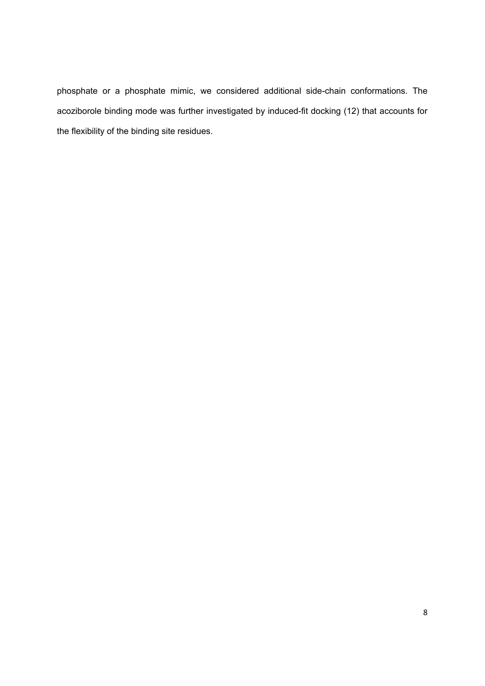phosphate or a phosphate mimic, we considered additional side-chain conformations. The acoziborole binding mode was further investigated by induced-fit docking (12) that accounts for the flexibility of the binding site residues.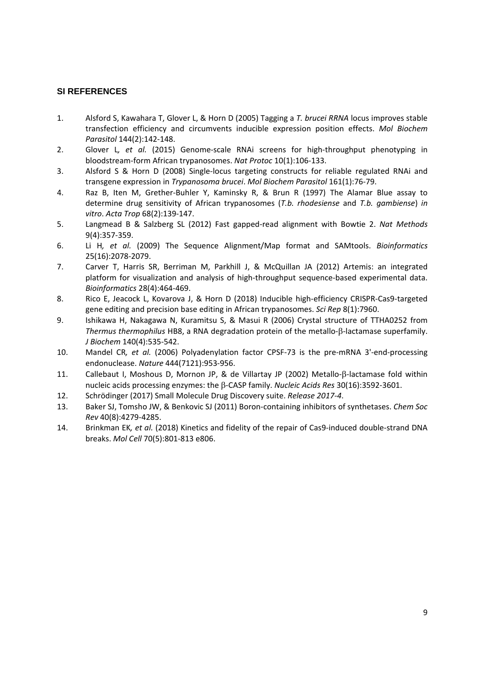### **SI REFERENCES**

- 1. Alsford S, Kawahara T, Glover L, & Horn D (2005) Tagging a *T. brucei RRNA* locus improves stable transfection efficiency and circumvents inducible expression position effects. *Mol Biochem Parasitol* 144(2):142‐148.
- 2. Glover L*, et al.* (2015) Genome‐scale RNAi screens for high‐throughput phenotyping in bloodstream‐form African trypanosomes. *Nat Protoc* 10(1):106‐133.
- 3. Alsford S & Horn D (2008) Single‐locus targeting constructs for reliable regulated RNAi and transgene expression in *Trypanosoma brucei*. *Mol Biochem Parasitol* 161(1):76‐79.
- 4. Raz B, Iten M, Grether‐Buhler Y, Kaminsky R, & Brun R (1997) The Alamar Blue assay to determine drug sensitivity of African trypanosomes (*T.b. rhodesiense* and *T.b. gambiense*) *in vitro*. *Acta Trop* 68(2):139‐147.
- 5. Langmead B & Salzberg SL (2012) Fast gapped‐read alignment with Bowtie 2. *Nat Methods* 9(4):357‐359.
- 6. Li H*, et al.* (2009) The Sequence Alignment/Map format and SAMtools. *Bioinformatics* 25(16):2078‐2079.
- 7. Carver T, Harris SR, Berriman M, Parkhill J, & McQuillan JA (2012) Artemis: an integrated platform for visualization and analysis of high‐throughput sequence‐based experimental data. *Bioinformatics* 28(4):464‐469.
- 8. Rico E, Jeacock L, Kovarova J, & Horn D (2018) Inducible high-efficiency CRISPR-Cas9-targeted gene editing and precision base editing in African trypanosomes. *Sci Rep* 8(1):7960.
- 9. Ishikawa H, Nakagawa N, Kuramitsu S, & Masui R (2006) Crystal structure of TTHA0252 from *Thermus thermophilus* HB8, a RNA degradation protein of the metallo-<sup>B</sup>-lactamase superfamily. *J Biochem* 140(4):535‐542.
- 10. Mandel CR*, et al.* (2006) Polyadenylation factor CPSF‐73 is the pre‐mRNA 3'‐end‐processing endonuclease. *Nature* 444(7121):953‐956.
- 11. Callebaut I, Moshous D, Mornon JP, & de Villartay JP (2002) Metallo-ß-lactamase fold within nucleic acids processing enzymes: the ‐CASP family. *Nucleic Acids Res* 30(16):3592‐3601.
- 12. Schrödinger (2017) Small Molecule Drug Discovery suite. *Release 2017‐4*.
- 13. Baker SJ, Tomsho JW, & Benkovic SJ (2011) Boron‐containing inhibitors of synthetases. *Chem Soc Rev* 40(8):4279‐4285.
- 14. Brinkman EK*, et al.* (2018) Kinetics and fidelity of the repair of Cas9‐induced double‐strand DNA breaks. *Mol Cell* 70(5):801‐813 e806.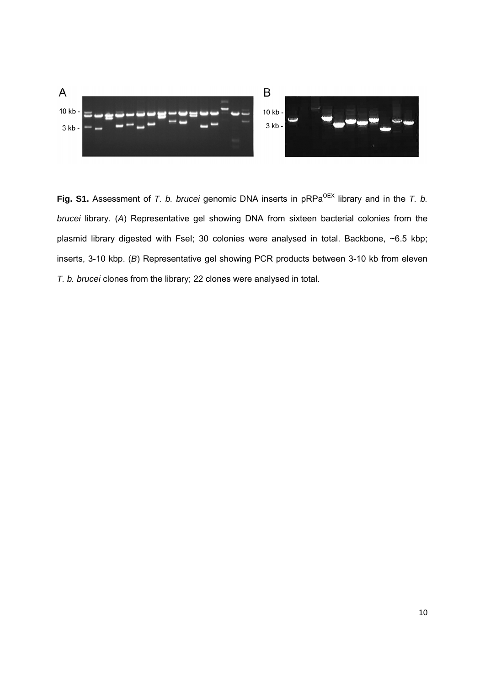

Fig. S1. Assessment of *T. b. brucei* genomic DNA inserts in pRPa<sup>OEX</sup> library and in the *T. b. brucei* library. (*A*) Representative gel showing DNA from sixteen bacterial colonies from the plasmid library digested with Fsel; 30 colonies were analysed in total. Backbone, ~6.5 kbp; inserts, 3-10 kbp. (*B*) Representative gel showing PCR products between 3-10 kb from eleven *T. b. brucei* clones from the library; 22 clones were analysed in total.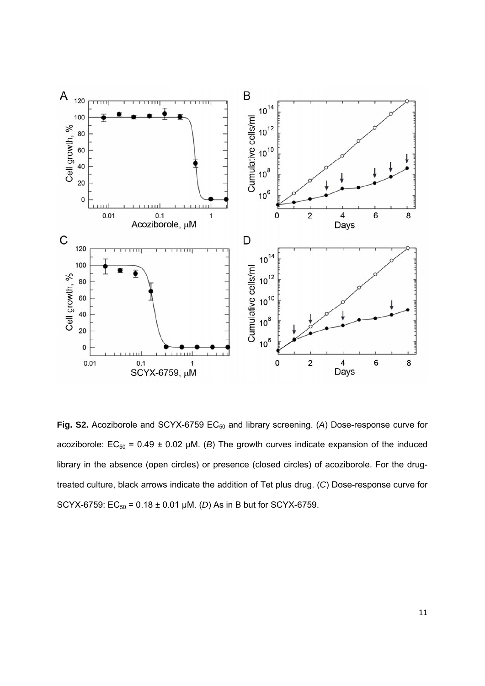

Fig. S2. Acoziborole and SCYX-6759 EC<sub>50</sub> and library screening. (A) Dose-response curve for acoziborole:  $EC_{50} = 0.49 \pm 0.02$  µM. (*B*) The growth curves indicate expansion of the induced library in the absence (open circles) or presence (closed circles) of acoziborole. For the drugtreated culture, black arrows indicate the addition of Tet plus drug. (*C*) Dose-response curve for SCYX-6759:  $EC_{50} = 0.18 \pm 0.01 \mu M$ . (*D*) As in B but for SCYX-6759.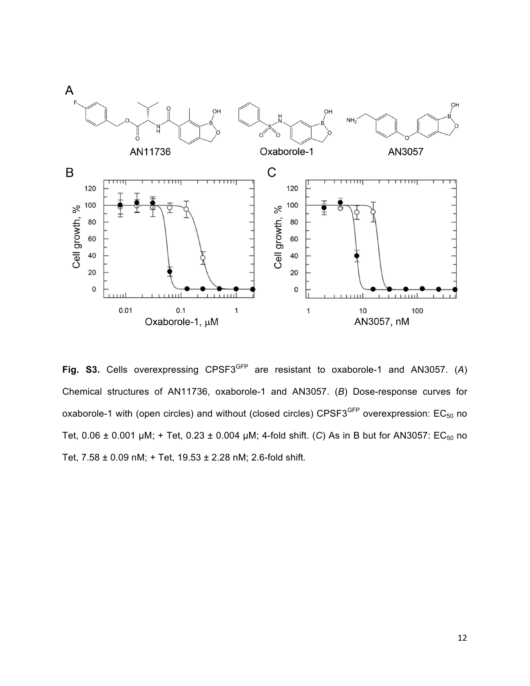

Fig. S3. Cells overexpressing CPSF3<sup>GFP</sup> are resistant to oxaborole-1 and AN3057. (A) Chemical structures of AN11736, oxaborole-1 and AN3057. (*B*) Dose-response curves for oxaborole-1 with (open circles) and without (closed circles) CPSF3<sup>GFP</sup> overexpression:  $EC_{50}$  no Tet,  $0.06 \pm 0.001$  µM; + Tet,  $0.23 \pm 0.004$  µM; 4-fold shift. (C) As in B but for AN3057: EC<sub>50</sub> no Tet, 7.58 ± 0.09 nM; + Tet, 19.53 ± 2.28 nM; 2.6-fold shift.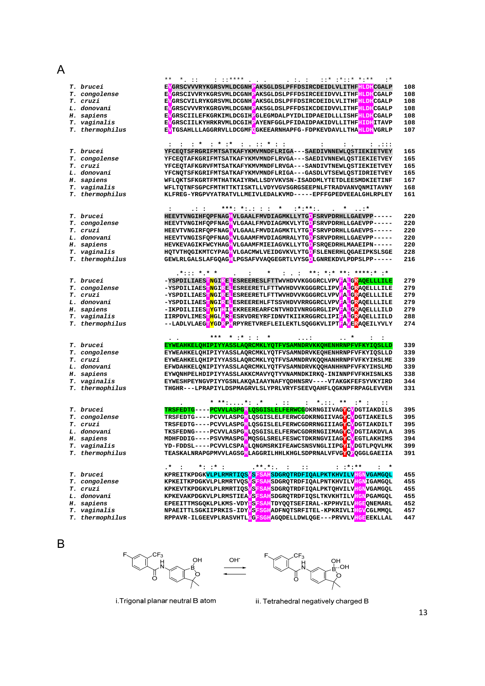## A

|                  | $***$ $*$ ::<br>. : ∗                                                                                                                                                                                                                                                                                                                                           |     |
|------------------|-----------------------------------------------------------------------------------------------------------------------------------------------------------------------------------------------------------------------------------------------------------------------------------------------------------------------------------------------------------------|-----|
| T. brucei        | EVGRSCVVVRYKGRSVMLDCGNHPAKSGLDSLPFFDSIRCDEIDLVLITHF <mark>HLDH</mark> CGALP                                                                                                                                                                                                                                                                                     | 108 |
| T. congolense    | EVGRSCIVVRYKGRSVMLDCGNHPAKSGLDSLPFFDSIRCEEIDVVLITHFHLDHCGALP                                                                                                                                                                                                                                                                                                    | 108 |
| T. cruzi         | EVGRSCVILRYKGRSVMLDCGNHPAKSGLDSLPFFDSIRCDEIDLVLITHFHLDHCGALP                                                                                                                                                                                                                                                                                                    | 108 |
| L. donovani      | EVGRSCVVVRYKGRGVMLDCGNHPAKSGLDSLPFFDSIKCDEIDVVLITHFHLDHCGALP                                                                                                                                                                                                                                                                                                    | 108 |
| H. sapiens       | EVGRSCIILEFKGRKIMLDCGIHPGLEGMDALPYIDLIDPAEIDLLLISHF <mark>HLDH</mark> CGALP                                                                                                                                                                                                                                                                                     | 108 |
| T. vaginalis     | EVGRSCIILKYHRKRVMLDCGIHPAYENFGGLPFIDAIDPAKIDVLLITHF <mark>HIDH</mark> ITAVP                                                                                                                                                                                                                                                                                     | 108 |
| T. thermophilus  | EVTGSAHLLLAGGRRVLLDCGMFOGKEEARNHAPFG-FDPKEVDAVLLTHA <mark>HLDH</mark> VGRLP                                                                                                                                                                                                                                                                                     | 107 |
|                  |                                                                                                                                                                                                                                                                                                                                                                 |     |
|                  | $\frac{1}{2}$ : $\frac{1}{2}$ : $\frac{1}{2}$ : $\frac{1}{2}$ : $\frac{1}{2}$ : $\frac{1}{2}$ : $\frac{1}{2}$ : $\frac{1}{2}$ : $\frac{1}{2}$ : $\frac{1}{2}$ : $\frac{1}{2}$ : $\frac{1}{2}$ : $\frac{1}{2}$ : $\frac{1}{2}$ : $\frac{1}{2}$ : $\frac{1}{2}$ : $\frac{1}{2}$ : $\frac{1}{2}$ : $\frac{1$<br>$\ddot{\phantom{a}}$<br>$\cdots$<br>$\ddot{\cdot}$ |     |
| <i>T. brucei</i> | YFCEQTSFRGRIFMTSATKAFYKMVMNDFLRIGA---SAEDIVNNEWLQSTIEKIETVEY                                                                                                                                                                                                                                                                                                    | 165 |
| T. congolense    | YFCEQTAFKGRIFMTSATKAFYKMVMNDFLRVGA---SAEDIVNNEWLQSTIEKIETVEY                                                                                                                                                                                                                                                                                                    | 165 |
| T. cruzi         | YFCEQTAFKGRVFMTSATKAFYKMVMNDFLRVGA---SANDIVTNEWLQSTIEKIETVEY                                                                                                                                                                                                                                                                                                    | 165 |
| L. donovani      | YFCNQTSFKGRIFMTSATKAFYKMVMNDFLRIGA---GASDLVTSEWLQSTIDRIETVEY                                                                                                                                                                                                                                                                                                    | 165 |
| H. sapiens       | WFLQKTSFKGRTFMTHATKAIYRWLLSDYVKVSN-ISADDMLYTETDLEESMDKIETINF                                                                                                                                                                                                                                                                                                    | 167 |
| T. vaginalis     | WFLTQTNFSGPCFMTHTTKTISKTLLVDYVGVSGRGSEEPNLFTRADVANVQNMITAVNY                                                                                                                                                                                                                                                                                                    | 168 |
| T. thermophilus  | KLFREG-YRGPVYATRATVLLMEIVLEDALKVMD-----EPFFGPEDVEEALGHLRPLEY                                                                                                                                                                                                                                                                                                    | 161 |
|                  |                                                                                                                                                                                                                                                                                                                                                                 |     |
|                  | $\pm$ . It is the state state $\pm$ is the state of the state $\pm$ . The state of the state $\pm$                                                                                                                                                                                                                                                              |     |
| T. brucei        | HEEVTVNGIHFQPFNAGHVLGAALFMVDIAGMKLLYTGDFSRVPDRHLLGAEVPP-----                                                                                                                                                                                                                                                                                                    | 220 |
| T. congolense    | HEEVTVNGIHFOPFNAGHVLGAALFMVDIAGMKVLYTGDFSRVPDRHLLGAEVPP-----                                                                                                                                                                                                                                                                                                    | 220 |
| T. cruzi         | HEEVTVNGIRFQPFNAGHVLGAALFMVDIAGMKTLYTGDFSRVPDRHLLGAEVPS-----                                                                                                                                                                                                                                                                                                    | 220 |
| L. donovani      | HEEVTVNGISFQPFNAGHVLGAAMFMVDIAGMRALYTGDFSRVPDRHLLGAEVPP-----                                                                                                                                                                                                                                                                                                    | 220 |
| H. sapiens       | HEVKEVAGIKFWCYHAGHVLGAAMFMIEIAGVKLLYTGDFSRQEDRHLMAAEIPN-----                                                                                                                                                                                                                                                                                                    | 220 |
| T. vaginalis     | HQTVTHQGIKMTCYPAGHVLGACMWLVEIDGVKVLYTGDFSLENERHLQGAEIPKSLSGE                                                                                                                                                                                                                                                                                                    | 228 |
| T. thermophilus  | GEWLRLGALSLAFGQAGELPGSAFVVAQGEGRTLVYSGDLGNREKDVLPDPSLPP-----                                                                                                                                                                                                                                                                                                    | 216 |
|                  |                                                                                                                                                                                                                                                                                                                                                                 |     |
|                  | $.*$ : : : $*.$ * *<br>$\star$<br>$\cdot$ :                                                                                                                                                                                                                                                                                                                     |     |
| T. brucei        | -YSPDILIAES <mark>TNGIREL</mark> ESREERESLFTTWVHDVVKGGGRCLVPV <mark>FALGRAQELLLILE</mark>                                                                                                                                                                                                                                                                       | 279 |
| T. congolense    | -YSPDILIAES <mark>TNGIREL</mark> ESREERETLFTTWVHDVVKGGGRCLIPV <mark>FALGR</mark> AQELLLILE                                                                                                                                                                                                                                                                      | 279 |
| T. cruzi         | -YSPDILIAES <mark>TNGIREL</mark> ESREERETLFTTWVHDVVKGGGRCLVPV <mark>FALGR</mark> AQELLLILE                                                                                                                                                                                                                                                                      | 279 |
| L. donovani      | -YSPDILIAES <mark>TNGIREL</mark> ESREEREHLFTSSVHDVVRRGGRCLVPV <mark>FALGR</mark> AQELLLILE                                                                                                                                                                                                                                                                      | 279 |
| H. sapiens       | -IKPDILIIES <mark>TY</mark> GTHIFEKREEREARFCNTVHDIVNRGGRGLIPV <mark>FAFGR</mark> AQELLLILD                                                                                                                                                                                                                                                                      | 279 |
| T. vaginalis     | IIRPDVLIMES <mark>TH</mark> GL <mark>ARI</mark> ESRVDREYRFIDNVTKIIKRGGRCLIPI <mark>FALGR</mark> AQELLIILD                                                                                                                                                                                                                                                       | 288 |
| T. thermophilus  | --LADLVLAEG <mark>TYGDRPF</mark> RPYRETVREFLEILEKTLSQGGKVLIPT <mark>FAVER</mark> AQEILYVLY                                                                                                                                                                                                                                                                      | 274 |
|                  |                                                                                                                                                                                                                                                                                                                                                                 |     |
|                  |                                                                                                                                                                                                                                                                                                                                                                 |     |
| T. brucei        | EYWEAHKELQHIPIYYASSLAQRCMKLYQTFVSAMNDRVKKQHENHRNPFVFKYIQSLLD                                                                                                                                                                                                                                                                                                    | 339 |
| T. congolense    | EYWEAHKELQHIPIYYASSLAQRCMKLYQTFVSAMNDRVKEQHENHRNPFVFKYIQSLLD                                                                                                                                                                                                                                                                                                    | 339 |
| T. cruzi         | EYWEAHKELQHIPIYYASSLAQRCMKLYQTFVSAMNDRVKQQHANHRNPFVFKYIHSLME                                                                                                                                                                                                                                                                                                    | 339 |
| L. donovani      | EFWDAHKELQNIPIYYASSLAQRCMKLYQTFVSAMNDRVKQQHANHHNPFVFKYIHSLMD                                                                                                                                                                                                                                                                                                    | 339 |
| H. sapiens       | EYWQNHPELHDIPIYYASSLAKKCMAVYQTYVNAMNDKIRKQ-ININNPFVFKHISNLKS                                                                                                                                                                                                                                                                                                    | 338 |
| T. vaginalis     | EYWESHPEYNGVPIYYGSNLAKQAIAAYNAFYQDHNSRV----VTAKGKFEFSYVKYIRD                                                                                                                                                                                                                                                                                                    | 344 |
| T. thermophilus  | THGHR---LPRAPIYLDSPMAGRVLSLYPRLVRYFSEEVQAHFLQGKNPFRPAGLEVVEH                                                                                                                                                                                                                                                                                                    | 331 |
|                  |                                                                                                                                                                                                                                                                                                                                                                 |     |
|                  | $\cdots$                                                                                                                                                                                                                                                                                                                                                        |     |
| T. brucei        | TRSFEDTG----PCVVLASPGMLQSGISLELFERWCGDKRNGIIVAGYCVDGTIAKDILS                                                                                                                                                                                                                                                                                                    | 395 |
| T. congolense    | TRSFEDTG----PCVVLASPGVLQSGISLELFERWCGDKRNGIIVAG <mark>Y</mark> CVDGTIAKEILS                                                                                                                                                                                                                                                                                     | 395 |
| T. cruzi         | TRSFEDTG----PCVVLASPGVLQSGISLELFERWCGDRRNGIIIAG <mark>YC</mark> VDGTIAKDILT                                                                                                                                                                                                                                                                                     | 395 |
| L. donovani      | TKSFEDNG----PCVVLASPGMLQSGISLELFERWCGDRRNGIIMAG <mark>Y</mark> CVDGTIAKDVLA                                                                                                                                                                                                                                                                                     | 395 |
| H. sapiens       | MDHFDDIG----PSVVMASPGWMQSGLSRELFESWCTDKRNGVIIAG <mark>YC</mark> VEGTLAKHIMS                                                                                                                                                                                                                                                                                     | 394 |
| T. vaginalis     | YD-FDDSL----PCVVLCSPAMLQNGMSRKIFEAWCSNSVNGLIIPG <mark>Y</mark> IVOGTLPQVLMK                                                                                                                                                                                                                                                                                     | 399 |
| T. thermophilus  | TEASKALNRAPGPMVVLAGSGMLAGGRILHHLKHGLSDPRNALVFVG <mark>YQP</mark> QGGLGAEIIA                                                                                                                                                                                                                                                                                     | 391 |
|                  |                                                                                                                                                                                                                                                                                                                                                                 |     |
|                  | $*: :* :$<br>$.***.*:.$ : ::<br>$\cdot$ $\cdot$ $\cdot$<br>. * . * *<br>$\cdot$ $\cdot$                                                                                                                                                                                                                                                                         |     |
| T. brucei        | KPREITKPDGKVLPLRMRTIQSVSFSAHSDGRQTRDFIQALPKTKHVILVHGNVGAMGQL                                                                                                                                                                                                                                                                                                    | 455 |
| T. congolense    | KPKEITKPDGKVLPLRMRTVQS <mark>VSFSAH</mark> SDGRQTRDFIQALPNTKHVILV <mark>HGN</mark> IGAMGQL                                                                                                                                                                                                                                                                      | 455 |
| T. cruzi         | KPKEVTKPDGKVLPLRMRTIQS <mark>VSFSAH</mark> SDGRQTRDFIQALPKTQHVILV <mark>HGN</mark> VGAMGQL                                                                                                                                                                                                                                                                      | 455 |
| L. donovani      | KPKEVAKPDGKVLPLRMSTIEA <mark>VSFSAH</mark> SDGRQTRDFIQSLTKVKHTILV <mark>HGN</mark> PGAMGQL                                                                                                                                                                                                                                                                      | 455 |
| H. sapiens       | EPEEITTMSGQKLPLKMS-VDY <mark>ISFSAH</mark> TDYQQTSEFIRAL-KPPHVILV <mark>HGE</mark> QNEMARL                                                                                                                                                                                                                                                                      | 452 |
| T. vaginalis     | NPAEITTLSGKIIPRKIS-IDYVSFSGHADFNQTSRFITEL-KPKRIVLIHGVCGLMMQL                                                                                                                                                                                                                                                                                                    | 457 |
| T. thermophilus  | RPPAVR-ILGEEVPLRASVHTLGGFSGHAGODELLDWLQGE---PRVVLVHGEEEKLLAL                                                                                                                                                                                                                                                                                                    | 447 |
|                  |                                                                                                                                                                                                                                                                                                                                                                 |     |

OH<sup>-</sup>

B



i. Trigonal planar neutral B atom

QН .<br>ОН `∩ Ő

ii. Tetrahedral negatively charged B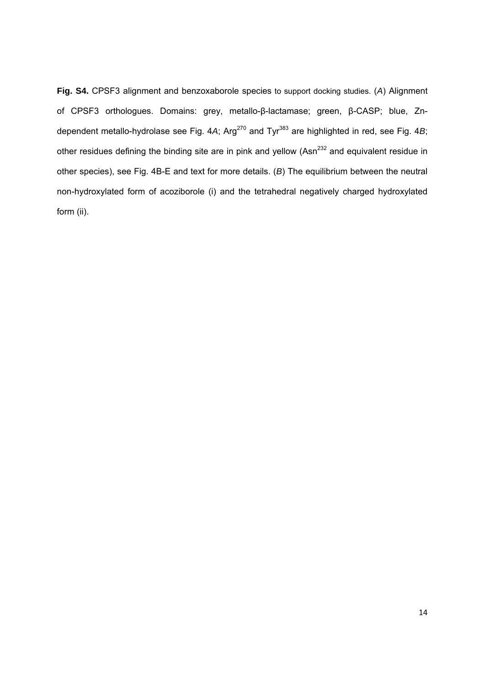**Fig. S4.** CPSF3 alignment and benzoxaborole species to support docking studies. (*A*) Alignment of CPSF3 orthologues. Domains: grey, metallo-β-lactamase; green, β-CASP; blue, Zndependent metallo-hydrolase see Fig. 4A; Arg<sup>270</sup> and Tyr<sup>383</sup> are highlighted in red, see Fig. 4B; other residues defining the binding site are in pink and yellow (Asn<sup>232</sup> and equivalent residue in other species), see Fig. 4B-E and text for more details. (*B*) The equilibrium between the neutral non-hydroxylated form of acoziborole (i) and the tetrahedral negatively charged hydroxylated form (ii).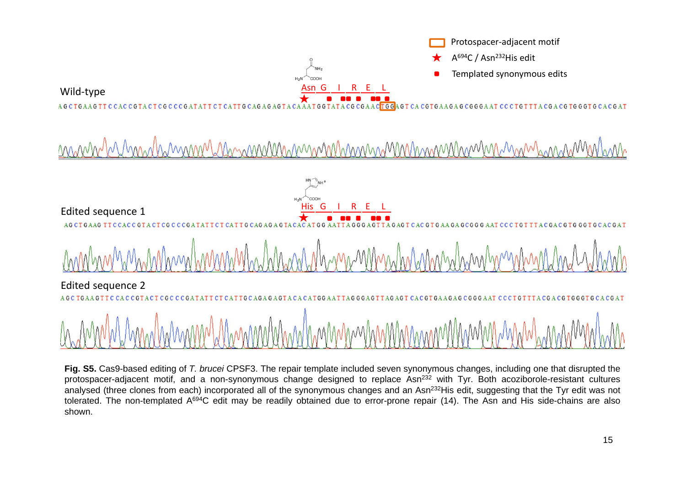

**Fig. S5.** Cas9-based editing of *T. brucei* CPSF3. The repair template included seven synonymous changes, including one that disrupted the protospacer-adiacent motif, and a non-synonymous change designed to replace Asn<sup>232</sup> with Tyr. Both acoziborole-resistant cultures analysed (three clones from each) incorporated all of the synonymous changes and an Asn<sup>232</sup>His edit, suggesting that the Tyr edit was not tolerated. The non-templated A694C edit may be readily obtained due to error-prone repair (14). The Asn and His side-chains are also shown.